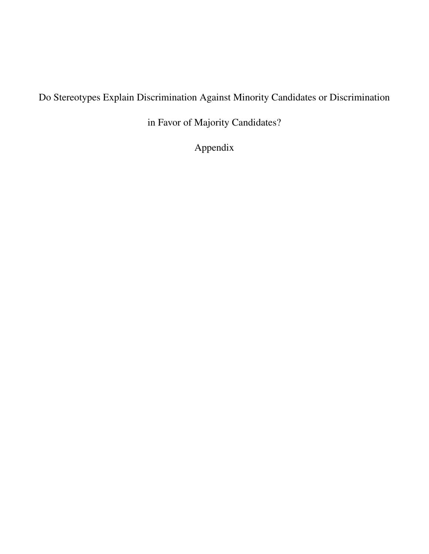# Do Stereotypes Explain Discrimination Against Minority Candidates or Discrimination

in Favor of Majority Candidates?

Appendix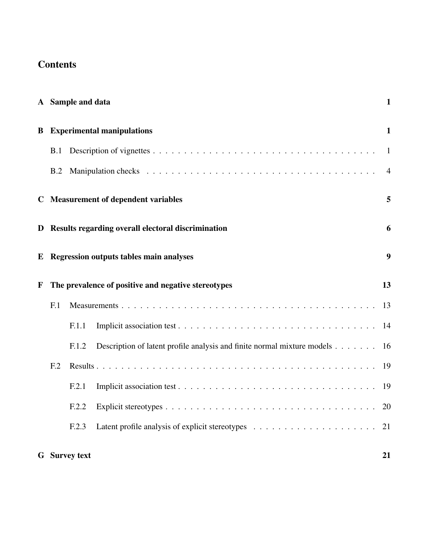# **Contents**

|   |                 | A Sample and data    |                                                                         | $\mathbf{1}$   |
|---|-----------------|----------------------|-------------------------------------------------------------------------|----------------|
| B |                 |                      | <b>Experimental manipulations</b>                                       | $\mathbf{1}$   |
|   | B.1             |                      |                                                                         | 1              |
|   | B.2             |                      |                                                                         | $\overline{4}$ |
|   |                 |                      | C Measurement of dependent variables                                    | 5              |
|   |                 |                      | D Results regarding overall electoral discrimination                    | 6              |
| E |                 |                      | <b>Regression outputs tables main analyses</b>                          | 9              |
| F |                 |                      | The prevalence of positive and negative stereotypes                     | 13             |
|   | F <sub>1</sub>  |                      |                                                                         | 13             |
|   |                 | F.1.1                |                                                                         | 14             |
|   |                 | F.1.2                | Description of latent profile analysis and finite normal mixture models | 16             |
|   | F <sub>12</sub> |                      |                                                                         | 19             |
|   |                 | F.2.1                |                                                                         | 19             |
|   |                 | F.2.2                |                                                                         | 20             |
|   |                 | F.2.3                |                                                                         | 21             |
|   |                 | <b>G</b> Survey text |                                                                         | 21             |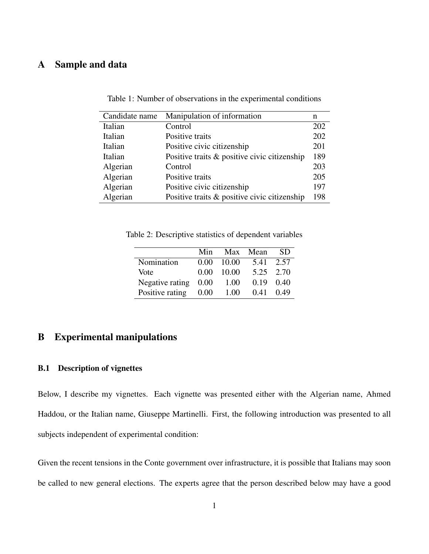# <span id="page-2-0"></span>A Sample and data

| Candidate name | Manipulation of information                  | n   |
|----------------|----------------------------------------------|-----|
| Italian        | Control                                      | 202 |
| Italian        | Positive traits                              | 202 |
| Italian        | Positive civic citizenship                   | 201 |
| Italian        | Positive traits & positive civic citizenship | 189 |
| Algerian       | Control                                      | 203 |
| Algerian       | Positive traits                              | 205 |
| Algerian       | Positive civic citizenship                   | 197 |
| Algerian       | Positive traits & positive civic citizenship | 198 |

Table 1: Number of observations in the experimental conditions

Table 2: Descriptive statistics of dependent variables

|                 | Min  |       | Max Mean  | -SD       |
|-----------------|------|-------|-----------|-----------|
| Nomination      | 0.00 | 10.00 | 5.41 2.57 |           |
| Vote            | 0.00 | 10.00 |           | 5.25 2.70 |
| Negative rating | 0.00 | 1.00  | 0.19      | 0.40      |
| Positive rating | 0.00 | 1.00  | 0.41      | 0.49      |

# <span id="page-2-1"></span>B Experimental manipulations

#### <span id="page-2-2"></span>B.1 Description of vignettes

Below, I describe my vignettes. Each vignette was presented either with the Algerian name, Ahmed Haddou, or the Italian name, Giuseppe Martinelli. First, the following introduction was presented to all subjects independent of experimental condition:

Given the recent tensions in the Conte government over infrastructure, it is possible that Italians may soon be called to new general elections. The experts agree that the person described below may have a good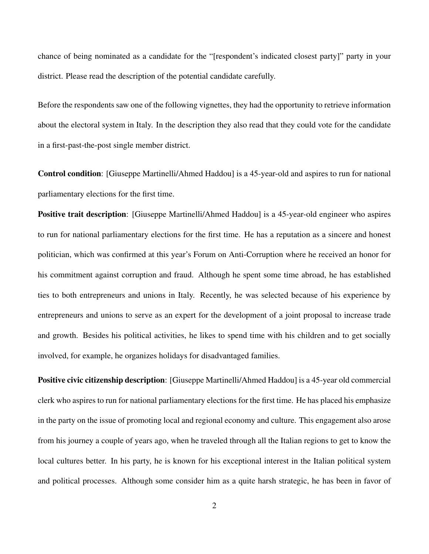chance of being nominated as a candidate for the "[respondent's indicated closest party]" party in your district. Please read the description of the potential candidate carefully.

Before the respondents saw one of the following vignettes, they had the opportunity to retrieve information about the electoral system in Italy. In the description they also read that they could vote for the candidate in a first-past-the-post single member district.

Control condition: [Giuseppe Martinelli/Ahmed Haddou] is a 45-year-old and aspires to run for national parliamentary elections for the first time.

**Positive trait description**: [Giuseppe Martinelli/Ahmed Haddou] is a 45-year-old engineer who aspires to run for national parliamentary elections for the first time. He has a reputation as a sincere and honest politician, which was confirmed at this year's Forum on Anti-Corruption where he received an honor for his commitment against corruption and fraud. Although he spent some time abroad, he has established ties to both entrepreneurs and unions in Italy. Recently, he was selected because of his experience by entrepreneurs and unions to serve as an expert for the development of a joint proposal to increase trade and growth. Besides his political activities, he likes to spend time with his children and to get socially involved, for example, he organizes holidays for disadvantaged families.

Positive civic citizenship description: [Giuseppe Martinelli/Ahmed Haddou] is a 45-year old commercial clerk who aspires to run for national parliamentary elections for the first time. He has placed his emphasize in the party on the issue of promoting local and regional economy and culture. This engagement also arose from his journey a couple of years ago, when he traveled through all the Italian regions to get to know the local cultures better. In his party, he is known for his exceptional interest in the Italian political system and political processes. Although some consider him as a quite harsh strategic, he has been in favor of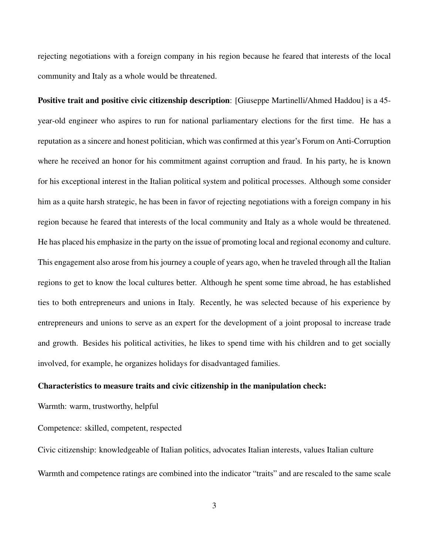rejecting negotiations with a foreign company in his region because he feared that interests of the local community and Italy as a whole would be threatened.

Positive trait and positive civic citizenship description: [Giuseppe Martinelli/Ahmed Haddou] is a 45 year-old engineer who aspires to run for national parliamentary elections for the first time. He has a reputation as a sincere and honest politician, which was confirmed at this year's Forum on Anti-Corruption where he received an honor for his commitment against corruption and fraud. In his party, he is known for his exceptional interest in the Italian political system and political processes. Although some consider him as a quite harsh strategic, he has been in favor of rejecting negotiations with a foreign company in his region because he feared that interests of the local community and Italy as a whole would be threatened. He has placed his emphasize in the party on the issue of promoting local and regional economy and culture. This engagement also arose from his journey a couple of years ago, when he traveled through all the Italian regions to get to know the local cultures better. Although he spent some time abroad, he has established ties to both entrepreneurs and unions in Italy. Recently, he was selected because of his experience by entrepreneurs and unions to serve as an expert for the development of a joint proposal to increase trade and growth. Besides his political activities, he likes to spend time with his children and to get socially involved, for example, he organizes holidays for disadvantaged families.

#### Characteristics to measure traits and civic citizenship in the manipulation check:

Warmth: warm, trustworthy, helpful

Competence: skilled, competent, respected

Civic citizenship: knowledgeable of Italian politics, advocates Italian interests, values Italian culture Warmth and competence ratings are combined into the indicator "traits" and are rescaled to the same scale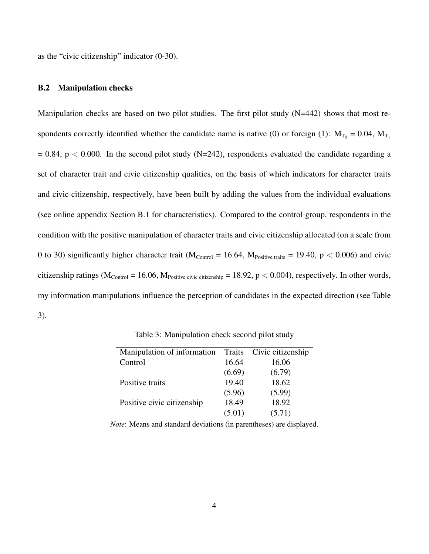as the "civic citizenship" indicator (0-30).

### <span id="page-5-0"></span>B.2 Manipulation checks

Manipulation checks are based on two pilot studies. The first pilot study (N=442) shows that most respondents correctly identified whether the candidate name is native (0) or foreign (1):  $M_{T_0} = 0.04$ ,  $M_{T_1}$  $= 0.84$ , p < 0.000. In the second pilot study (N=242), respondents evaluated the candidate regarding a set of character trait and civic citizenship qualities, on the basis of which indicators for character traits and civic citizenship, respectively, have been built by adding the values from the individual evaluations (see online appendix Section B.1 for characteristics). Compared to the control group, respondents in the condition with the positive manipulation of character traits and civic citizenship allocated (on a scale from 0 to 30) significantly higher character trait ( $M_{\text{Control}} = 16.64$ ,  $M_{\text{Positive traits}} = 19.40$ ,  $p < 0.006$ ) and civic citizenship ratings ( $M_{\text{Control}} = 16.06$ ,  $M_{\text{Positive civic citizenship}} = 18.92$ ,  $p < 0.004$ ), respectively. In other words, my information manipulations influence the perception of candidates in the expected direction (see Table 3).

| Manipulation of information Traits |        | Civic citizenship |
|------------------------------------|--------|-------------------|
| Control                            | 16.64  | 16.06             |
|                                    | (6.69) | (6.79)            |
| Positive traits                    | 19.40  | 18.62             |
|                                    | (5.96) | (5.99)            |
| Positive civic citizenship         | 18.49  | 18.92             |
|                                    | (5.01) | (5.71)            |

Table 3: Manipulation check second pilot study

*Note*: Means and standard deviations (in parentheses) are displayed.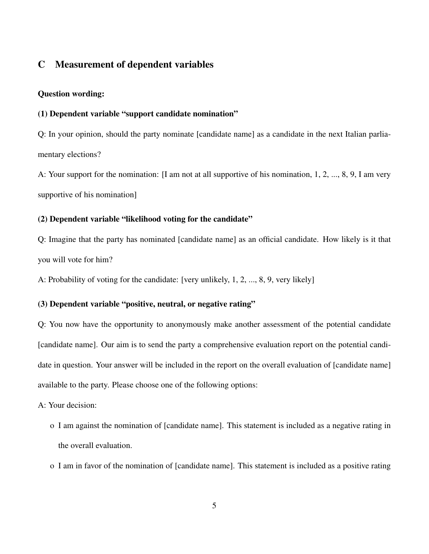# <span id="page-6-0"></span>C Measurement of dependent variables

### Question wording:

# (1) Dependent variable "support candidate nomination"

Q: In your opinion, should the party nominate [candidate name] as a candidate in the next Italian parliamentary elections?

A: Your support for the nomination: [I am not at all supportive of his nomination, 1, 2, ..., 8, 9, I am very supportive of his nomination]

### (2) Dependent variable "likelihood voting for the candidate"

Q: Imagine that the party has nominated [candidate name] as an official candidate. How likely is it that you will vote for him?

A: Probability of voting for the candidate: [very unlikely, 1, 2, ..., 8, 9, very likely]

## (3) Dependent variable "positive, neutral, or negative rating"

Q: You now have the opportunity to anonymously make another assessment of the potential candidate [candidate name]. Our aim is to send the party a comprehensive evaluation report on the potential candidate in question. Your answer will be included in the report on the overall evaluation of [candidate name] available to the party. Please choose one of the following options:

## A: Your decision:

- o I am against the nomination of [candidate name]. This statement is included as a negative rating in the overall evaluation.
- o I am in favor of the nomination of [candidate name]. This statement is included as a positive rating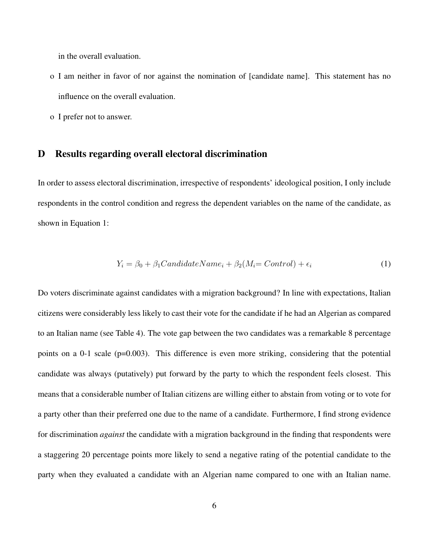in the overall evaluation.

- o I am neither in favor of nor against the nomination of [candidate name]. This statement has no influence on the overall evaluation.
- o I prefer not to answer.

### <span id="page-7-0"></span>D Results regarding overall electoral discrimination

In order to assess electoral discrimination, irrespective of respondents' ideological position, I only include respondents in the control condition and regress the dependent variables on the name of the candidate, as shown in Equation 1:

$$
Y_i = \beta_0 + \beta_1 CandidateName_i + \beta_2(M_i = Control) + \epsilon_i \tag{1}
$$

Do voters discriminate against candidates with a migration background? In line with expectations, Italian citizens were considerably less likely to cast their vote for the candidate if he had an Algerian as compared to an Italian name (see Table 4). The vote gap between the two candidates was a remarkable 8 percentage points on a 0-1 scale (p=0.003). This difference is even more striking, considering that the potential candidate was always (putatively) put forward by the party to which the respondent feels closest. This means that a considerable number of Italian citizens are willing either to abstain from voting or to vote for a party other than their preferred one due to the name of a candidate. Furthermore, I find strong evidence for discrimination *against* the candidate with a migration background in the finding that respondents were a staggering 20 percentage points more likely to send a negative rating of the potential candidate to the party when they evaluated a candidate with an Algerian name compared to one with an Italian name.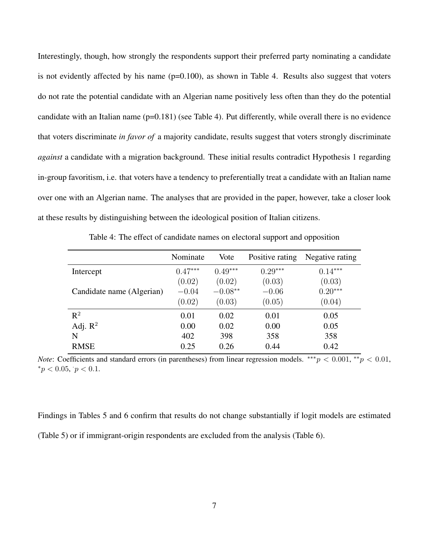Interestingly, though, how strongly the respondents support their preferred party nominating a candidate is not evidently affected by his name  $(p=0.100)$ , as shown in Table 4. Results also suggest that voters do not rate the potential candidate with an Algerian name positively less often than they do the potential candidate with an Italian name (p=0.181) (see Table 4). Put differently, while overall there is no evidence that voters discriminate *in favor of* a majority candidate, results suggest that voters strongly discriminate *against* a candidate with a migration background. These initial results contradict Hypothesis 1 regarding in-group favoritism, i.e. that voters have a tendency to preferentially treat a candidate with an Italian name over one with an Algerian name. The analyses that are provided in the paper, however, take a closer look at these results by distinguishing between the ideological position of Italian citizens.

|                           | Nominate  | Vote      | Positive rating | Negative rating |
|---------------------------|-----------|-----------|-----------------|-----------------|
| Intercept                 | $0.47***$ | $0.49***$ | $0.29***$       | $0.14***$       |
|                           | (0.02)    | (0.02)    | (0.03)          | (0.03)          |
| Candidate name (Algerian) | $-0.04$   | $-0.08**$ | $-0.06$         | $0.20***$       |
|                           | (0.02)    | (0.03)    | (0.05)          | (0.04)          |
| $\mathbb{R}^2$            | 0.01      | 0.02      | 0.01            | 0.05            |
| Adj. $\mathbb{R}^2$       | 0.00      | 0.02      | 0.00            | 0.05            |
| N                         | 402       | 398       | 358             | 358             |
| <b>RMSE</b>               | 0.25      | 0.26      | 0.44            | 0.42            |

Table 4: The effect of candidate names on electoral support and opposition

*Note*: Coefficients and standard errors (in parentheses) from linear regression models.  $***p < 0.001$ ,  $**p < 0.01$ ,  ${}^*p < 0.05, p < 0.1.$ 

Findings in Tables 5 and 6 confirm that results do not change substantially if logit models are estimated (Table 5) or if immigrant-origin respondents are excluded from the analysis (Table 6).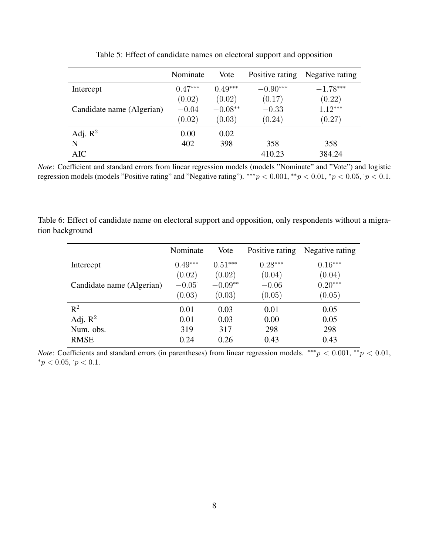|                           | Nominate  | Vote      | Positive rating | Negative rating |
|---------------------------|-----------|-----------|-----------------|-----------------|
| Intercept                 | $0.47***$ | $0.49***$ | $-0.90***$      | $-1.78***$      |
|                           | (0.02)    | (0.02)    | (0.17)          | (0.22)          |
| Candidate name (Algerian) | $-0.04$   | $-0.08**$ | $-0.33$         | $1.12***$       |
|                           | (0.02)    | (0.03)    | (0.24)          | (0.27)          |
| Adj. $R^2$                | 0.00      | 0.02      |                 |                 |
| N                         | 402       | 398       | 358             | 358             |
| AIC                       |           |           | 410.23          | 384.24          |

Table 5: Effect of candidate names on electoral support and opposition

*Note*: Coefficient and standard errors from linear regression models (models "Nominate" and "Vote") and logistic regression models (models "Positive rating" and "Negative rating"). \*\*\* $p < 0.001$ , \*\* $p < 0.01$ , \* $p < 0.05$ ,  $p < 0.1$ .

Table 6: Effect of candidate name on electoral support and opposition, only respondents without a migration background

|                           | Nominate  | Vote      | Positive rating | Negative rating |
|---------------------------|-----------|-----------|-----------------|-----------------|
| Intercept                 | $0.49***$ | $0.51***$ | $0.28***$       | $0.16***$       |
|                           | (0.02)    | (0.02)    | (0.04)          | (0.04)          |
| Candidate name (Algerian) | $-0.05$   | $-0.09**$ | $-0.06$         | $0.20***$       |
|                           | (0.03)    | (0.03)    | (0.05)          | (0.05)          |
| $R^2$                     | 0.01      | 0.03      | 0.01            | 0.05            |
| Adj. $\mathbb{R}^2$       | 0.01      | 0.03      | 0.00            | 0.05            |
| Num. obs.                 | 319       | 317       | 298             | 298             |
| <b>RMSE</b>               | 0.24      | 0.26      | 0.43            | 0.43            |

*Note*: Coefficients and standard errors (in parentheses) from linear regression models.  $***p < 0.001$ ,  $**p < 0.01$ ,  ${}^*p < 0.05, p < 0.1.$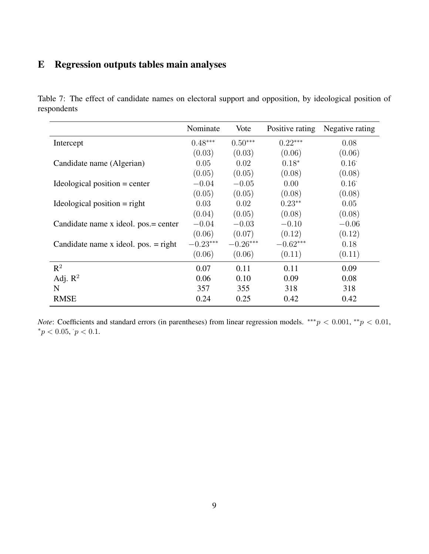# <span id="page-10-0"></span>E Regression outputs tables main analyses

Table 7: The effect of candidate names on electoral support and opposition, by ideological position of respondents

|                                       | Nominate   | Vote       | Positive rating | Negative rating |
|---------------------------------------|------------|------------|-----------------|-----------------|
| Intercept                             | $0.48***$  | $0.50***$  | $0.22***$       | 0.08            |
|                                       | (0.03)     | (0.03)     | (0.06)          | (0.06)          |
| Candidate name (Algerian)             | 0.05       | 0.02       | $0.18*$         | $0.16^{\circ}$  |
|                                       | (0.05)     | (0.05)     | (0.08)          | (0.08)          |
| Ideological position $=$ center       | $-0.04$    | $-0.05$    | 0.00            | $0.16^{\circ}$  |
|                                       | (0.05)     | (0.05)     | (0.08)          | (0.08)          |
| Ideological position $=$ right        | 0.03       | 0.02       | $0.23**$        | 0.05            |
|                                       | (0.04)     | (0.05)     | (0.08)          | (0.08)          |
| Candidate name x ideol. pos.= center  | $-0.04$    | $-0.03$    | $-0.10$         | $-0.06$         |
|                                       | (0.06)     | (0.07)     | (0.12)          | (0.12)          |
| Candidate name x ideol. $pos = right$ | $-0.23***$ | $-0.26***$ | $-0.62***$      | 0.18            |
|                                       | (0.06)     | (0.06)     | (0.11)          | (0.11)          |
| $R^2$                                 | 0.07       | 0.11       | 0.11            | 0.09            |
| Adj. $R^2$                            | 0.06       | 0.10       | 0.09            | 0.08            |
| N                                     | 357        | 355        | 318             | 318             |
| <b>RMSE</b>                           | 0.24       | 0.25       | 0.42            | 0.42            |

*Note*: Coefficients and standard errors (in parentheses) from linear regression models.  $***p < 0.001$ ,  $**p < 0.01$ ,  ${}^*p < 0.05, p < 0.1.$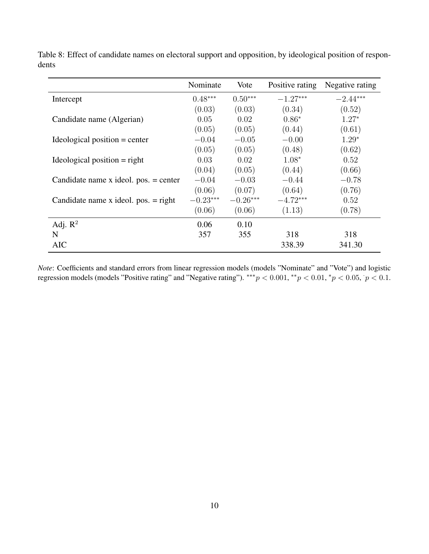|                                         | Nominate   | Vote       | Positive rating | Negative rating |
|-----------------------------------------|------------|------------|-----------------|-----------------|
| Intercept                               | $0.48***$  | $0.50***$  | $-1.27***$      | $-2.44***$      |
|                                         | (0.03)     | (0.03)     | (0.34)          | (0.52)          |
| Candidate name (Algerian)               | 0.05       | 0.02       | $0.86*$         | $1.27*$         |
|                                         | (0.05)     | (0.05)     | (0.44)          | (0.61)          |
| Ideological position $=$ center         | $-0.04$    | $-0.05$    | $-0.00$         | $1.29*$         |
|                                         | (0.05)     | (0.05)     | (0.48)          | (0.62)          |
| Ideological position $=$ right          | 0.03       | 0.02       | $1.08*$         | 0.52            |
|                                         | (0.04)     | (0.05)     | (0.44)          | (0.66)          |
| Candidate name x ideol. $pos. = center$ | $-0.04$    | $-0.03$    | $-0.44$         | $-0.78$         |
|                                         | (0.06)     | (0.07)     | (0.64)          | (0.76)          |
| Candidate name x ideol. $pos = right$   | $-0.23***$ | $-0.26***$ | $-4.72***$      | 0.52            |
|                                         | (0.06)     | (0.06)     | (1.13)          | (0.78)          |
| Adj. $R^2$                              | 0.06       | 0.10       |                 |                 |
| N                                       | 357        | 355        | 318             | 318             |
| <b>AIC</b>                              |            |            | 338.39          | 341.30          |

Table 8: Effect of candidate names on electoral support and opposition, by ideological position of respondents

*Note*: Coefficients and standard errors from linear regression models (models "Nominate" and "Vote") and logistic regression models (models "Positive rating" and "Negative rating"). \*\*\* $p < 0.001$ , \* $p < 0.01$ , \* $p < 0.05$ ,  $p < 0.1$ .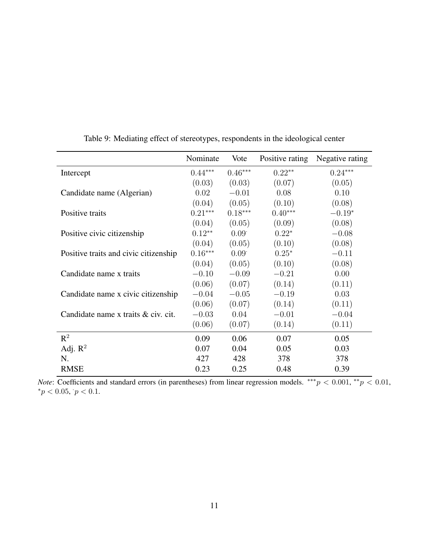|                                       | Nominate  | Vote              | Positive rating | Negative rating |
|---------------------------------------|-----------|-------------------|-----------------|-----------------|
| Intercept                             | $0.44***$ | $0.46***$         | $0.22**$        | $0.24***$       |
|                                       | (0.03)    | (0.03)            | (0.07)          | (0.05)          |
| Candidate name (Algerian)             | 0.02      | $-0.01$           | 0.08            | 0.10            |
|                                       | (0.04)    | (0.05)            | (0.10)          | (0.08)          |
| Positive traits                       | $0.21***$ | $0.18***$         | $0.40***$       | $-0.19*$        |
|                                       | (0.04)    | (0.05)            | (0.09)          | (0.08)          |
| Positive civic citizenship            | $0.12**$  | 0.09              | $0.22*$         | $-0.08$         |
|                                       | (0.04)    | (0.05)            | (0.10)          | (0.08)          |
| Positive traits and civic citizenship | $0.16***$ | 0.09 <sup>°</sup> | $0.25*$         | $-0.11$         |
|                                       | (0.04)    | (0.05)            | (0.10)          | (0.08)          |
| Candidate name x traits               | $-0.10$   | $-0.09$           | $-0.21$         | 0.00            |
|                                       | (0.06)    | (0.07)            | (0.14)          | (0.11)          |
| Candidate name x civic citizenship    | $-0.04$   | $-0.05$           | $-0.19$         | 0.03            |
|                                       | (0.06)    | (0.07)            | (0.14)          | (0.11)          |
| Candidate name x traits & civ. cit.   | $-0.03$   | 0.04              | $-0.01$         | $-0.04$         |
|                                       | (0.06)    | (0.07)            | (0.14)          | (0.11)          |
| $\mathbb{R}^2$                        | 0.09      | 0.06              | 0.07            | 0.05            |
| Adj. $R^2$                            | 0.07      | 0.04              | 0.05            | 0.03            |
| N.                                    | 427       | 428               | 378             | 378             |
| <b>RMSE</b>                           | 0.23      | 0.25              | 0.48            | 0.39            |

Table 9: Mediating effect of stereotypes, respondents in the ideological center

*Note*: Coefficients and standard errors (in parentheses) from linear regression models.  $***p < 0.001$ ,  $**p < 0.01$ ,  ${}^*p < 0.05, p < 0.1.$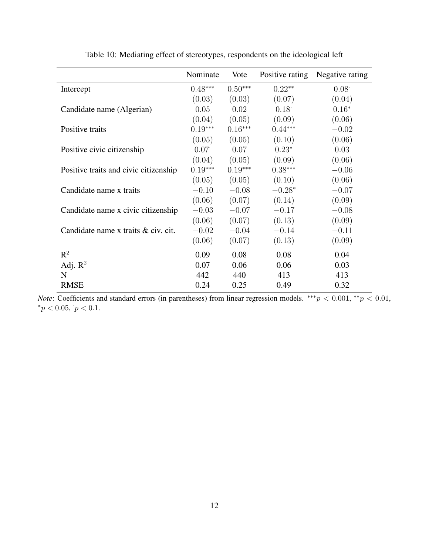|                                       | Nominate  | Vote      | Positive rating | Negative rating |
|---------------------------------------|-----------|-----------|-----------------|-----------------|
| Intercept                             | $0.48***$ | $0.50***$ | $0.22**$        | 0.08            |
|                                       | (0.03)    | (0.03)    | (0.07)          | (0.04)          |
| Candidate name (Algerian)             | 0.05      | 0.02      | 0.18            | $0.16*$         |
|                                       | (0.04)    | (0.05)    | (0.09)          | (0.06)          |
| Positive traits                       | $0.19***$ | $0.16***$ | $0.44***$       | $-0.02$         |
|                                       | (0.05)    | (0.05)    | (0.10)          | (0.06)          |
| Positive civic citizenship            | 0.07      | 0.07      | $0.23*$         | 0.03            |
|                                       | (0.04)    | (0.05)    | (0.09)          | (0.06)          |
| Positive traits and civic citizenship | $0.19***$ | $0.19***$ | $0.38***$       | $-0.06$         |
|                                       | (0.05)    | (0.05)    | (0.10)          | (0.06)          |
| Candidate name x traits               | $-0.10$   | $-0.08$   | $-0.28*$        | $-0.07$         |
|                                       | (0.06)    | (0.07)    | (0.14)          | (0.09)          |
| Candidate name x civic citizenship    | $-0.03$   | $-0.07$   | $-0.17$         | $-0.08$         |
|                                       | (0.06)    | (0.07)    | (0.13)          | (0.09)          |
| Candidate name x traits & civ. cit.   | $-0.02$   | $-0.04$   | $-0.14$         | $-0.11$         |
|                                       | (0.06)    | (0.07)    | (0.13)          | (0.09)          |
| $\mathbb{R}^2$                        | 0.09      | 0.08      | 0.08            | 0.04            |
| Adj. $R^2$                            | 0.07      | 0.06      | 0.06            | 0.03            |
| N                                     | 442       | 440       | 413             | 413             |
| <b>RMSE</b>                           | 0.24      | 0.25      | 0.49            | 0.32            |

Table 10: Mediating effect of stereotypes, respondents on the ideological left

*Note*: Coefficients and standard errors (in parentheses) from linear regression models.  $***p < 0.001$ ,  $**p < 0.01$ ,  ${}^*p < 0.05, p < 0.1.$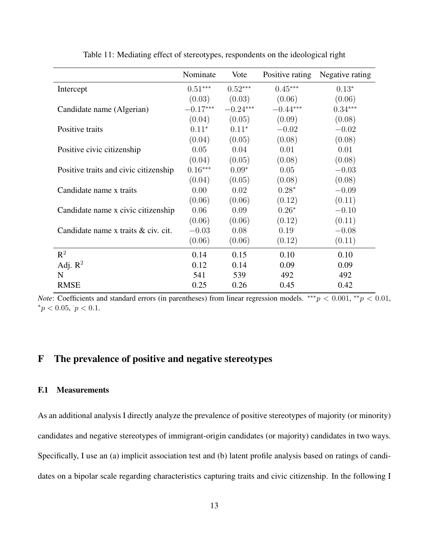|                                       | Nominate   | Vote       | Positive rating | Negative rating |
|---------------------------------------|------------|------------|-----------------|-----------------|
| Intercept                             | $0.51***$  | $0.52***$  | $0.45***$       | $0.13*$         |
|                                       | (0.03)     | (0.03)     | (0.06)          | (0.06)          |
| Candidate name (Algerian)             | $-0.17***$ | $-0.24***$ | $-0.44***$      | $0.34***$       |
|                                       | (0.04)     | (0.05)     | (0.09)          | (0.08)          |
| Positive traits                       | $0.11*$    | $0.11*$    | $-0.02$         | $-0.02$         |
|                                       | (0.04)     | (0.05)     | (0.08)          | (0.08)          |
| Positive civic citizenship            | 0.05       | 0.04       | 0.01            | 0.01            |
|                                       | (0.04)     | (0.05)     | (0.08)          | (0.08)          |
| Positive traits and civic citizenship | $0.16***$  | $0.09*$    | 0.05            | $-0.03$         |
|                                       | (0.04)     | (0.05)     | (0.08)          | (0.08)          |
| Candidate name x traits               | 0.00       | 0.02       | $0.28*$         | $-0.09$         |
|                                       | (0.06)     | (0.06)     | (0.12)          | (0.11)          |
| Candidate name x civic citizenship    | 0.06       | 0.09       | $0.26*$         | $-0.10$         |
|                                       | (0.06)     | (0.06)     | (0.12)          | (0.11)          |
| Candidate name x traits & civ. cit.   | $-0.03$    | 0.08       | 0.19            | $-0.08$         |
|                                       | (0.06)     | (0.06)     | (0.12)          | (0.11)          |
| $\mathbb{R}^2$                        | 0.14       | 0.15       | 0.10            | 0.10            |
| Adj. $R^2$                            | 0.12       | 0.14       | 0.09            | 0.09            |
| N                                     | 541        | 539        | 492             | 492             |
| <b>RMSE</b>                           | 0.25       | 0.26       | 0.45            | 0.42            |

Table 11: Mediating effect of stereotypes, respondents on the ideological right

*Note*: Coefficients and standard errors (in parentheses) from linear regression models.  $***p < 0.001$ ,  $**p < 0.01$ ,  ${}^*p < 0.05, p < 0.1.$ 

# <span id="page-14-0"></span>F The prevalence of positive and negative stereotypes

### <span id="page-14-1"></span>F.1 Measurements

As an additional analysis I directly analyze the prevalence of positive stereotypes of majority (or minority) candidates and negative stereotypes of immigrant-origin candidates (or majority) candidates in two ways. Specifically, I use an (a) implicit association test and (b) latent profile analysis based on ratings of candidates on a bipolar scale regarding characteristics capturing traits and civic citizenship. In the following I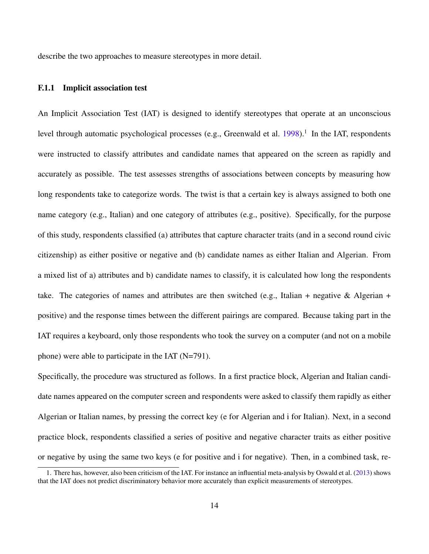describe the two approaches to measure stereotypes in more detail.

### <span id="page-15-0"></span>F.1.1 Implicit association test

An Implicit Association Test (IAT) is designed to identify stereotypes that operate at an unconscious level through automatic psychological processes (e.g., Greenwald et al. [1998\)](#page-29-0).<sup>[1](#page-15-1)</sup> In the IAT, respondents were instructed to classify attributes and candidate names that appeared on the screen as rapidly and accurately as possible. The test assesses strengths of associations between concepts by measuring how long respondents take to categorize words. The twist is that a certain key is always assigned to both one name category (e.g., Italian) and one category of attributes (e.g., positive). Specifically, for the purpose of this study, respondents classified (a) attributes that capture character traits (and in a second round civic citizenship) as either positive or negative and (b) candidate names as either Italian and Algerian. From a mixed list of a) attributes and b) candidate names to classify, it is calculated how long the respondents take. The categories of names and attributes are then switched (e.g., Italian + negative & Algerian + positive) and the response times between the different pairings are compared. Because taking part in the IAT requires a keyboard, only those respondents who took the survey on a computer (and not on a mobile phone) were able to participate in the IAT (N=791).

Specifically, the procedure was structured as follows. In a first practice block, Algerian and Italian candidate names appeared on the computer screen and respondents were asked to classify them rapidly as either Algerian or Italian names, by pressing the correct key (e for Algerian and i for Italian). Next, in a second practice block, respondents classified a series of positive and negative character traits as either positive or negative by using the same two keys (e for positive and i for negative). Then, in a combined task, re-

<span id="page-15-1"></span><sup>1.</sup> There has, however, also been criticism of the IAT. For instance an influential meta-analysis by Oswald et al. [\(2013\)](#page-30-0) shows that the IAT does not predict discriminatory behavior more accurately than explicit measurements of stereotypes.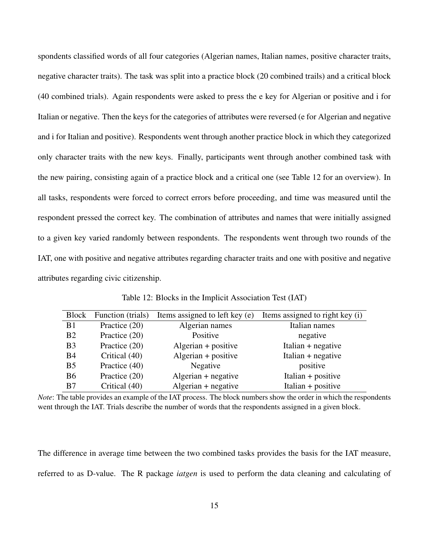spondents classified words of all four categories (Algerian names, Italian names, positive character traits, negative character traits). The task was split into a practice block (20 combined trails) and a critical block (40 combined trials). Again respondents were asked to press the e key for Algerian or positive and i for Italian or negative. Then the keys for the categories of attributes were reversed (e for Algerian and negative and i for Italian and positive). Respondents went through another practice block in which they categorized only character traits with the new keys. Finally, participants went through another combined task with the new pairing, consisting again of a practice block and a critical one (see Table 12 for an overview). In all tasks, respondents were forced to correct errors before proceeding, and time was measured until the respondent pressed the correct key. The combination of attributes and names that were initially assigned to a given key varied randomly between respondents. The respondents went through two rounds of the IAT, one with positive and negative attributes regarding character traits and one with positive and negative attributes regarding civic citizenship.

| Block          | Function (trials) | Items assigned to left key (e) | Items assigned to right key (i) |
|----------------|-------------------|--------------------------------|---------------------------------|
| B1             | Practice (20)     | Algerian names                 | Italian names                   |
| B <sub>2</sub> | Practice (20)     | Positive                       | negative                        |
| B <sub>3</sub> | Practice (20)     | $Algerian + positive$          | Italian $+$ negative            |
| B <sub>4</sub> | Critical (40)     | Algerian $+$ positive          | Italian $+$ negative            |
| B <sub>5</sub> | Practice (40)     | Negative                       | positive                        |
| <b>B6</b>      | Practice (20)     | $Algerian + negative$          | Italian $+$ positive            |
| B7             | Critical (40)     | $Algerian + negative$          | Italian + positive              |

Table 12: Blocks in the Implicit Association Test (IAT)

*Note*: The table provides an example of the IAT process. The block numbers show the order in which the respondents went through the IAT. Trials describe the number of words that the respondents assigned in a given block.

The difference in average time between the two combined tasks provides the basis for the IAT measure, referred to as D-value. The R package *iatgen* is used to perform the data cleaning and calculating of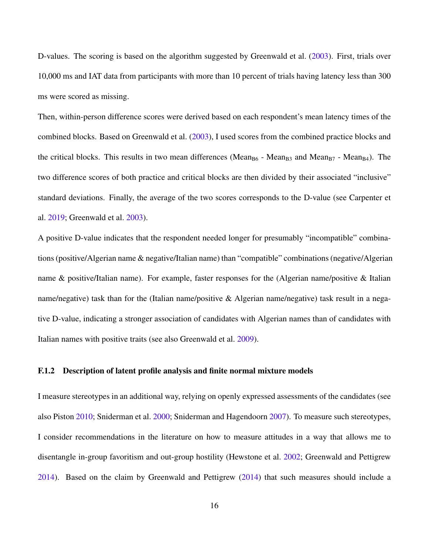D-values. The scoring is based on the algorithm suggested by Greenwald et al. [\(2003\)](#page-29-1). First, trials over 10,000 ms and IAT data from participants with more than 10 percent of trials having latency less than 300 ms were scored as missing.

Then, within-person difference scores were derived based on each respondent's mean latency times of the combined blocks. Based on Greenwald et al. [\(2003\)](#page-29-1), I used scores from the combined practice blocks and the critical blocks. This results in two mean differences (Mean<sub>B6</sub> - Mean<sub>B3</sub> and Mean<sub>B7</sub> - Mean<sub>B4</sub>). The two difference scores of both practice and critical blocks are then divided by their associated "inclusive" standard deviations. Finally, the average of the two scores corresponds to the D-value (see Carpenter et al. [2019;](#page-29-2) Greenwald et al. [2003\)](#page-29-1).

A positive D-value indicates that the respondent needed longer for presumably "incompatible" combinations (positive/Algerian name & negative/Italian name) than "compatible" combinations (negative/Algerian name & positive/Italian name). For example, faster responses for the (Algerian name/positive & Italian name/negative) task than for the (Italian name/positive & Algerian name/negative) task result in a negative D-value, indicating a stronger association of candidates with Algerian names than of candidates with Italian names with positive traits (see also Greenwald et al. [2009\)](#page-29-3).

## <span id="page-17-0"></span>F.1.2 Description of latent profile analysis and finite normal mixture models

I measure stereotypes in an additional way, relying on openly expressed assessments of the candidates (see also Piston [2010;](#page-30-1) Sniderman et al. [2000;](#page-30-2) Sniderman and Hagendoorn [2007\)](#page-30-3). To measure such stereotypes, I consider recommendations in the literature on how to measure attitudes in a way that allows me to disentangle in-group favoritism and out-group hostility (Hewstone et al. [2002;](#page-29-4) Greenwald and Pettigrew [2014\)](#page-29-5). Based on the claim by Greenwald and Pettigrew [\(2014\)](#page-29-5) that such measures should include a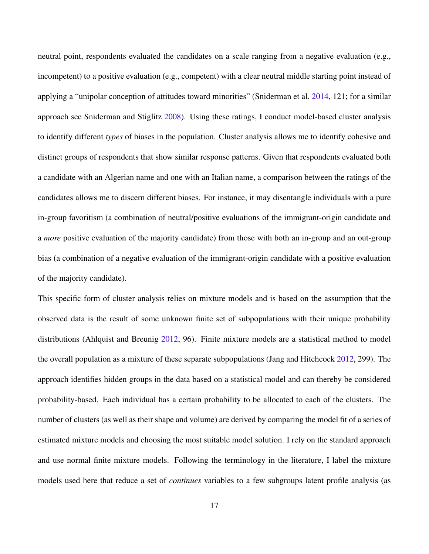neutral point, respondents evaluated the candidates on a scale ranging from a negative evaluation (e.g., incompetent) to a positive evaluation (e.g., competent) with a clear neutral middle starting point instead of applying a "unipolar conception of attitudes toward minorities" (Sniderman et al. [2014,](#page-30-4) 121; for a similar approach see Sniderman and Stiglitz [2008\)](#page-30-5). Using these ratings, I conduct model-based cluster analysis to identify different *types* of biases in the population. Cluster analysis allows me to identify cohesive and distinct groups of respondents that show similar response patterns. Given that respondents evaluated both a candidate with an Algerian name and one with an Italian name, a comparison between the ratings of the candidates allows me to discern different biases. For instance, it may disentangle individuals with a pure in-group favoritism (a combination of neutral/positive evaluations of the immigrant-origin candidate and a *more* positive evaluation of the majority candidate) from those with both an in-group and an out-group bias (a combination of a negative evaluation of the immigrant-origin candidate with a positive evaluation of the majority candidate).

This specific form of cluster analysis relies on mixture models and is based on the assumption that the observed data is the result of some unknown finite set of subpopulations with their unique probability distributions (Ahlquist and Breunig [2012,](#page-28-0) 96). Finite mixture models are a statistical method to model the overall population as a mixture of these separate subpopulations (Jang and Hitchcock [2012,](#page-29-6) 299). The approach identifies hidden groups in the data based on a statistical model and can thereby be considered probability-based. Each individual has a certain probability to be allocated to each of the clusters. The number of clusters (as well as their shape and volume) are derived by comparing the model fit of a series of estimated mixture models and choosing the most suitable model solution. I rely on the standard approach and use normal finite mixture models. Following the terminology in the literature, I label the mixture models used here that reduce a set of *continues* variables to a few subgroups latent profile analysis (as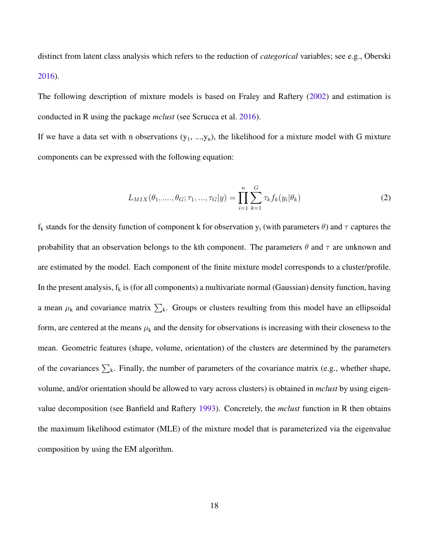distinct from latent class analysis which refers to the reduction of *categorical* variables; see e.g., Oberski [2016\)](#page-29-7).

The following description of mixture models is based on Fraley and Raftery [\(2002\)](#page-29-8) and estimation is conducted in R using the package *mclust* (see Scrucca et al. [2016\)](#page-30-6).

If we have a data set with n observations  $(y_1, ..., y_n)$ , the likelihood for a mixture model with G mixture components can be expressed with the following equation:

$$
L_{MIX}(\theta_1, ..., \theta_G; \tau_1, ..., \tau_G | y) = \prod_{i=1}^n \sum_{k=1}^G \tau_k f_k(y_i | \theta_k)
$$
\n(2)

 $f_k$  stands for the density function of component k for observation  $y_i$  (with parameters  $\theta$ ) and  $\tau$  captures the probability that an observation belongs to the kth component. The parameters  $\theta$  and  $\tau$  are unknown and are estimated by the model. Each component of the finite mixture model corresponds to a cluster/profile. In the present analysis,  $f_k$  is (for all components) a multivariate normal (Gaussian) density function, having a mean  $\mu_k$  and covariance matrix  $\sum_k$ . Groups or clusters resulting from this model have an ellipsoidal form, are centered at the means  $\mu_k$  and the density for observations is increasing with their closeness to the mean. Geometric features (shape, volume, orientation) of the clusters are determined by the parameters of the covariances  $\sum_{k}$ . Finally, the number of parameters of the covariance matrix (e.g., whether shape, volume, and/or orientation should be allowed to vary across clusters) is obtained in *mclust* by using eigenvalue decomposition (see Banfield and Raftery [1993\)](#page-28-1). Concretely, the *mclust* function in R then obtains the maximum likelihood estimator (MLE) of the mixture model that is parameterized via the eigenvalue composition by using the EM algorithm.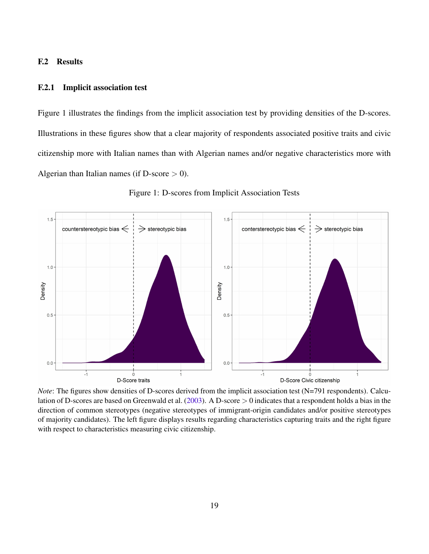### <span id="page-20-0"></span>F.2 Results

#### <span id="page-20-1"></span>F.2.1 Implicit association test

Figure 1 illustrates the findings from the implicit association test by providing densities of the D-scores. Illustrations in these figures show that a clear majority of respondents associated positive traits and civic citizenship more with Italian names than with Algerian names and/or negative characteristics more with Algerian than Italian names (if D-score  $> 0$ ).



Figure 1: D-scores from Implicit Association Tests

*Note*: The figures show densities of D-scores derived from the implicit association test (N=791 respondents). Calculation of D-scores are based on Greenwald et al. [\(2003\)](#page-29-1). A D-score > 0 indicates that a respondent holds a bias in the direction of common stereotypes (negative stereotypes of immigrant-origin candidates and/or positive stereotypes of majority candidates). The left figure displays results regarding characteristics capturing traits and the right figure with respect to characteristics measuring civic citizenship.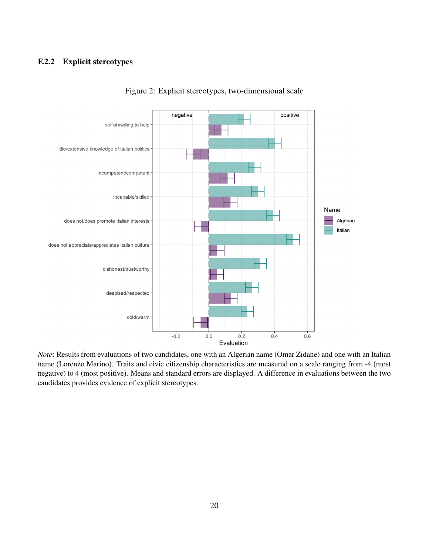# <span id="page-21-0"></span>F.2.2 Explicit stereotypes



Figure 2: Explicit stereotypes, two-dimensional scale

*Note*: Results from evaluations of two candidates, one with an Algerian name (Omar Zidane) and one with an Italian name (Lorenzo Marino). Traits and civic citizenship characteristics are measured on a scale ranging from -4 (most negative) to 4 (most positive). Means and standard errors are displayed. A difference in evaluations between the two candidates provides evidence of explicit stereotypes.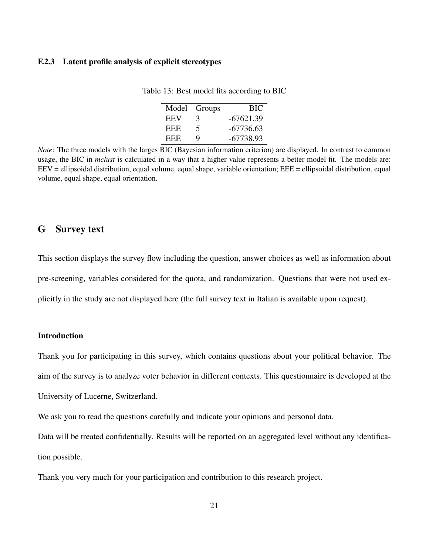### <span id="page-22-0"></span>F.2.3 Latent profile analysis of explicit stereotypes

| Model | Groups      | <b>BIC</b>  |
|-------|-------------|-------------|
| EEV   | $\mathbf 3$ | $-67621.39$ |
| EEE   | 5           | -67736.63   |
| EEE   | Q           | -67738.93   |

Table 13: Best model fits according to BIC

*Note*: The three models with the larges BIC (Bayesian information criterion) are displayed. In contrast to common usage, the BIC in *mclust* is calculated in a way that a higher value represents a better model fit. The models are: EEV = ellipsoidal distribution, equal volume, equal shape, variable orientation; EEE = ellipsoidal distribution, equal volume, equal shape, equal orientation.

# <span id="page-22-1"></span>G Survey text

This section displays the survey flow including the question, answer choices as well as information about pre-screening, variables considered for the quota, and randomization. Questions that were not used explicitly in the study are not displayed here (the full survey text in Italian is available upon request).

### Introduction

Thank you for participating in this survey, which contains questions about your political behavior. The aim of the survey is to analyze voter behavior in different contexts. This questionnaire is developed at the

University of Lucerne, Switzerland.

We ask you to read the questions carefully and indicate your opinions and personal data.

Data will be treated confidentially. Results will be reported on an aggregated level without any identification possible.

Thank you very much for your participation and contribution to this research project.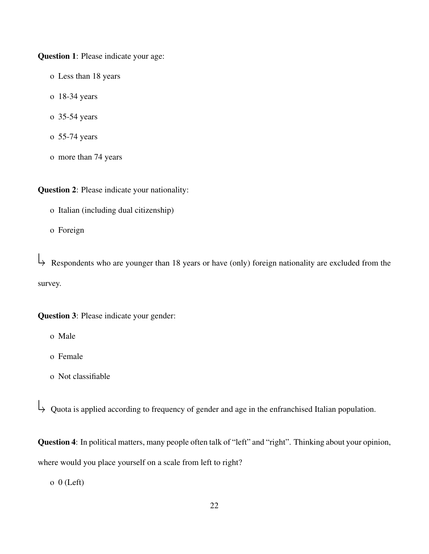Question 1: Please indicate your age:

- o Less than 18 years
- o 18-34 years
- o 35-54 years
- o 55-74 years
- o more than 74 years

Question 2: Please indicate your nationality:

- o Italian (including dual citizenship)
- o Foreign

Respondents who are younger than 18 years or have (only) foreign nationality are excluded from the survey.

Question 3: Please indicate your gender:

- o Male
- o Female
- o Not classifiable

Quota is applied according to frequency of gender and age in the enfranchised Italian population.

Question 4: In political matters, many people often talk of "left" and "right". Thinking about your opinion, where would you place yourself on a scale from left to right?

 $o \space 0$  (Left)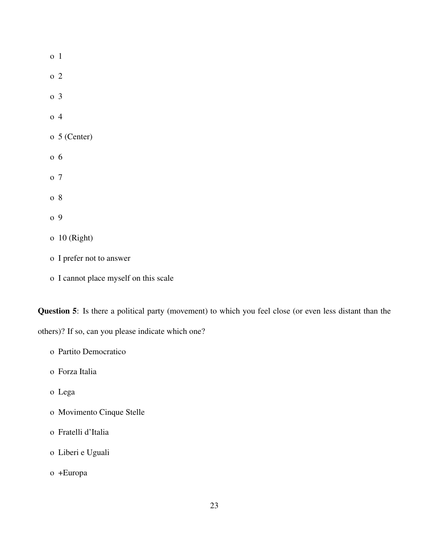| 0 <sub>1</sub> |                |
|----------------|----------------|
| o 2            |                |
| o <sub>3</sub> |                |
| o <sub>4</sub> |                |
|                | $o5$ (Center)  |
| $0\,6$         |                |
| o 7            |                |
| o 8            |                |
| o 9            |                |
|                | $o$ 10 (Right) |
|                |                |

- o I prefer not to answer
- o I cannot place myself on this scale

Question 5: Is there a political party (movement) to which you feel close (or even less distant than the

others)? If so, can you please indicate which one?

- o Forza Italia
- o Lega
- o Movimento Cinque Stelle
- o Fratelli d'Italia
- o Liberi e Uguali
- o +Europa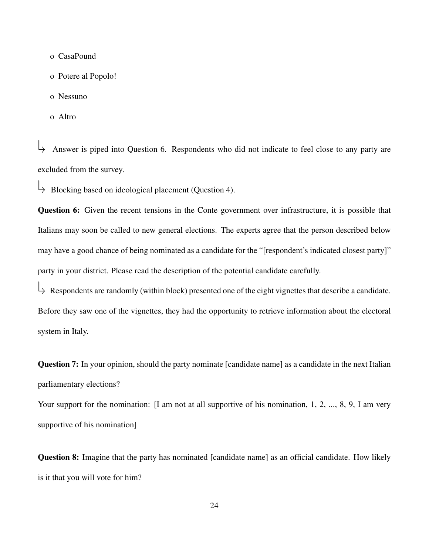- o CasaPound
- o Potere al Popolo!
- o Nessuno
- o Altro

 Answer is piped into Question 6. Respondents who did not indicate to feel close to any party are excluded from the survey.

Blocking based on ideological placement (Question 4).

Question 6: Given the recent tensions in the Conte government over infrastructure, it is possible that Italians may soon be called to new general elections. The experts agree that the person described below may have a good chance of being nominated as a candidate for the "[respondent's indicated closest party]" party in your district. Please read the description of the potential candidate carefully.

 $\downarrow$  Respondents are randomly (within block) presented one of the eight vignettes that describe a candidate. Before they saw one of the vignettes, they had the opportunity to retrieve information about the electoral system in Italy.

Question 7: In your opinion, should the party nominate [candidate name] as a candidate in the next Italian parliamentary elections?

Your support for the nomination: [I am not at all supportive of his nomination, 1, 2, ..., 8, 9, I am very supportive of his nomination]

Question 8: Imagine that the party has nominated [candidate name] as an official candidate. How likely is it that you will vote for him?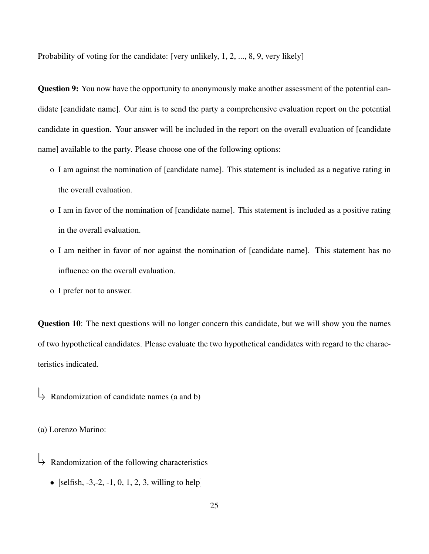Probability of voting for the candidate: [very unlikely, 1, 2, ..., 8, 9, very likely]

**Question 9:** You now have the opportunity to anonymously make another assessment of the potential candidate [candidate name]. Our aim is to send the party a comprehensive evaluation report on the potential candidate in question. Your answer will be included in the report on the overall evaluation of [candidate name] available to the party. Please choose one of the following options:

- o I am against the nomination of [candidate name]. This statement is included as a negative rating in the overall evaluation.
- o I am in favor of the nomination of [candidate name]. This statement is included as a positive rating in the overall evaluation.
- o I am neither in favor of nor against the nomination of [candidate name]. This statement has no influence on the overall evaluation.
- o I prefer not to answer.

Question 10: The next questions will no longer concern this candidate, but we will show you the names of two hypothetical candidates. Please evaluate the two hypothetical candidates with regard to the characteristics indicated.

 $\downarrow$  Randomization of candidate names (a and b)

(a) Lorenzo Marino:

- Randomization of the following characteristics
	- [selfish,  $-3, -2, -1, 0, 1, 2, 3$ , willing to help]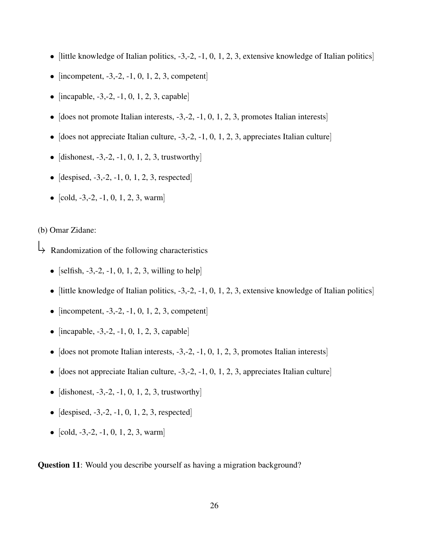- [little knowledge of Italian politics,  $-3, -2, -1, 0, 1, 2, 3$ , extensive knowledge of Italian politics]
- [incompetent,  $-3, -2, -1, 0, 1, 2, 3$ , competent]
- [incapable,  $-3, -2, -1, 0, 1, 2, 3$ , capable]
- [does not promote Italian interests,  $-3,-2, -1, 0, 1, 2, 3$ , promotes Italian interests]
- [does not appreciate Italian culture,  $-3,-2, -1, 0, 1, 2, 3$ , appreciates Italian culture]
- [dishonest,  $-3, -2, -1, 0, 1, 2, 3$ , trustworthy]
- [despised,  $-3, -2, -1, 0, 1, 2, 3$ , respected]
- [cold,  $-3, -2, -1, 0, 1, 2, 3$ , warm]

### (b) Omar Zidane:

- Randomization of the following characteristics
	- [selfish,  $-3, -2, -1, 0, 1, 2, 3$ , willing to help]
	- [little knowledge of Italian politics,  $-3, -2, -1, 0, 1, 2, 3$ , extensive knowledge of Italian politics]
	- [incompetent,  $-3, -2, -1, 0, 1, 2, 3$ , competent]
	- [incapable,  $-3, -2, -1, 0, 1, 2, 3$ , capable]
	- [does not promote Italian interests,  $-3,-2, -1, 0, 1, 2, 3$ , promotes Italian interests]
	- [does not appreciate Italian culture,  $-3, -2, -1, 0, 1, 2, 3$ , appreciates Italian culture]
	- [dishonest,  $-3, -2, -1, 0, 1, 2, 3$ , trustworthy]
	- [despised,  $-3, -2, -1, 0, 1, 2, 3$ , respected]
	- $[cold, -3, -2, -1, 0, 1, 2, 3, warm]$

Question 11: Would you describe yourself as having a migration background?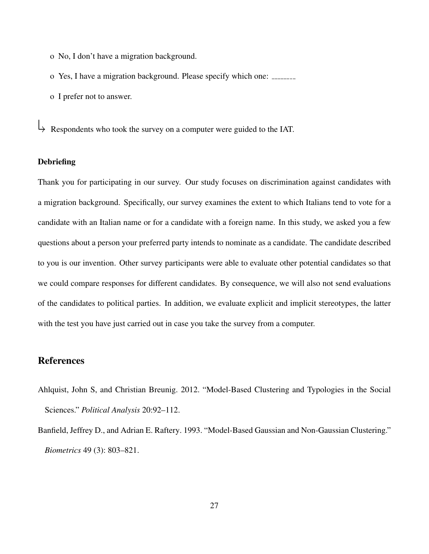- o No, I don't have a migration background.
- o Yes, I have a migration background. Please specify which one:
- o I prefer not to answer.

 $\downarrow$  Respondents who took the survey on a computer were guided to the IAT.

## **Debriefing**

Thank you for participating in our survey. Our study focuses on discrimination against candidates with a migration background. Specifically, our survey examines the extent to which Italians tend to vote for a candidate with an Italian name or for a candidate with a foreign name. In this study, we asked you a few questions about a person your preferred party intends to nominate as a candidate. The candidate described to you is our invention. Other survey participants were able to evaluate other potential candidates so that we could compare responses for different candidates. By consequence, we will also not send evaluations of the candidates to political parties. In addition, we evaluate explicit and implicit stereotypes, the latter with the test you have just carried out in case you take the survey from a computer.

## References

- <span id="page-28-0"></span>Ahlquist, John S, and Christian Breunig. 2012. "Model-Based Clustering and Typologies in the Social Sciences." *Political Analysis* 20:92–112.
- <span id="page-28-1"></span>Banfield, Jeffrey D., and Adrian E. Raftery. 1993. "Model-Based Gaussian and Non-Gaussian Clustering." *Biometrics* 49 (3): 803–821.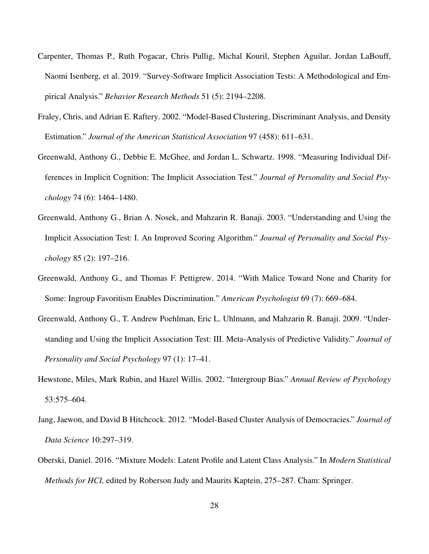- <span id="page-29-2"></span>Carpenter, Thomas P., Ruth Pogacar, Chris Pullig, Michal Kouril, Stephen Aguilar, Jordan LaBouff, Naomi Isenberg, et al. 2019. "Survey-Software Implicit Association Tests: A Methodological and Empirical Analysis." *Behavior Research Methods* 51 (5): 2194–2208.
- <span id="page-29-8"></span>Fraley, Chris, and Adrian E. Raftery. 2002. "Model-Based Clustering, Discriminant Analysis, and Density Estimation." *Journal of the American Statistical Association* 97 (458): 611–631.
- <span id="page-29-0"></span>Greenwald, Anthony G., Debbie E. McGhee, and Jordan L. Schwartz. 1998. "Measuring Individual Differences in Implicit Cognition: The Implicit Association Test." *Journal of Personality and Social Psychology* 74 (6): 1464–1480.
- <span id="page-29-1"></span>Greenwald, Anthony G., Brian A. Nosek, and Mahzarin R. Banaji. 2003. "Understanding and Using the Implicit Association Test: I. An Improved Scoring Algorithm." *Journal of Personality and Social Psychology* 85 (2): 197–216.
- <span id="page-29-5"></span>Greenwald, Anthony G., and Thomas F. Pettigrew. 2014. "With Malice Toward None and Charity for Some: Ingroup Favoritism Enables Discrimination." *American Psychologist* 69 (7): 669–684.
- <span id="page-29-3"></span>Greenwald, Anthony G., T. Andrew Poehlman, Eric L. Uhlmann, and Mahzarin R. Banaji. 2009. "Understanding and Using the Implicit Association Test: III. Meta-Analysis of Predictive Validity." *Journal of Personality and Social Psychology* 97 (1): 17–41.
- <span id="page-29-4"></span>Hewstone, Miles, Mark Rubin, and Hazel Willis. 2002. "Intergroup Bias." *Annual Review of Psychology* 53:575–604.
- <span id="page-29-6"></span>Jang, Jaewon, and David B Hitchcock. 2012. "Model-Based Cluster Analysis of Democracies." *Journal of Data Science* 10:297–319.
- <span id="page-29-7"></span>Oberski, Daniel. 2016. "Mixture Models: Latent Profile and Latent Class Analysis." In *Modern Statistical Methods for HCI,* edited by Roberson Judy and Maurits Kaptein, 275–287. Cham: Springer.